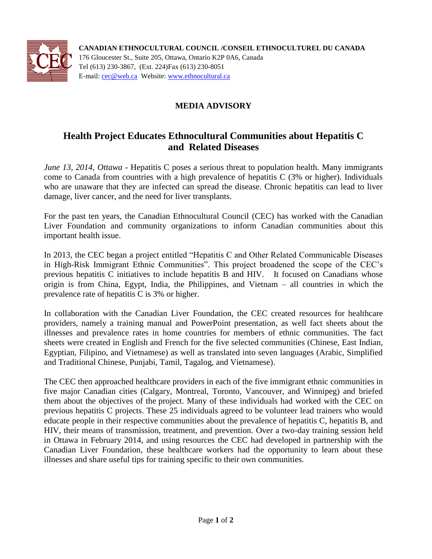

**CANADIAN ETHNOCULTURAL COUNCIL /CONSEIL ETHNOCULTUREL DU CANADA** 176 Gloucester St., Suite 205, Ottawa, Ontario K2P 0A6, Canada Tel (613) 230-3867, (Ext. 224)Fax (613) 230-8051 E-mail: [cec@web.ca](mailto:cec@web.ca) Website: [www.ethnocultural.ca](http://www.ethnocultural.ca/)

## **MEDIA ADVISORY**

## **Health Project Educates Ethnocultural Communities about Hepatitis C and Related Diseases**

*June 13, 2014, Ottawa* - Hepatitis C poses a serious threat to population health. Many immigrants come to Canada from countries with a high prevalence of hepatitis C (3% or higher). Individuals who are unaware that they are infected can spread the disease. Chronic hepatitis can lead to liver damage, liver cancer, and the need for liver transplants.

For the past ten years, the Canadian Ethnocultural Council (CEC) has worked with the Canadian Liver Foundation and community organizations to inform Canadian communities about this important health issue.

In 2013, the CEC began a project entitled "Hepatitis C and Other Related Communicable Diseases in High-Risk Immigrant Ethnic Communities". This project broadened the scope of the CEC's previous hepatitis C initiatives to include hepatitis B and HIV. It focused on Canadians whose origin is from China, Egypt, India, the Philippines, and Vietnam – all countries in which the prevalence rate of hepatitis C is 3% or higher.

In collaboration with the Canadian Liver Foundation, the CEC created resources for healthcare providers, namely a training manual and PowerPoint presentation, as well fact sheets about the illnesses and prevalence rates in home countries for members of ethnic communities. The fact sheets were created in English and French for the five selected communities (Chinese, East Indian, Egyptian, Filipino, and Vietnamese) as well as translated into seven languages (Arabic, Simplified and Traditional Chinese, Punjabi, Tamil, Tagalog, and Vietnamese).

The CEC then approached healthcare providers in each of the five immigrant ethnic communities in five major Canadian cities (Calgary, Montreal, Toronto, Vancouver, and Winnipeg) and briefed them about the objectives of the project. Many of these individuals had worked with the CEC on previous hepatitis C projects. These 25 individuals agreed to be volunteer lead trainers who would educate people in their respective communities about the prevalence of hepatitis C, hepatitis B, and HIV, their means of transmission, treatment, and prevention. Over a two-day training session held in Ottawa in February 2014, and using resources the CEC had developed in partnership with the Canadian Liver Foundation, these healthcare workers had the opportunity to learn about these illnesses and share useful tips for training specific to their own communities.